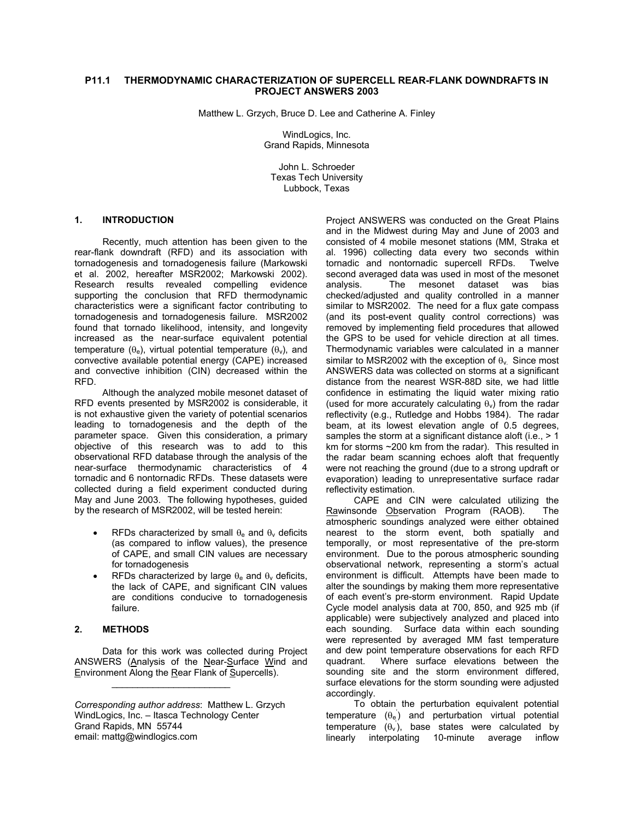# **P11.1 THERMODYNAMIC CHARACTERIZATION OF SUPERCELL REAR-FLANK DOWNDRAFTS IN PROJECT ANSWERS 2003**

Matthew L. Grzych, Bruce D. Lee and Catherine A. Finley

WindLogics, Inc. Grand Rapids, Minnesota

John L. Schroeder Texas Tech University Lubbock, Texas

#### **1. INTRODUCTION**

 Recently, much attention has been given to the rear-flank downdraft (RFD) and its association with tornadogenesis and tornadogenesis failure (Markowski et al. 2002, hereafter MSR2002; Markowski 2002). Research results revealed compelling evidence supporting the conclusion that RFD thermodynamic characteristics were a significant factor contributing to tornadogenesis and tornadogenesis failure. MSR2002 found that tornado likelihood, intensity, and longevity increased as the near-surface equivalent potential temperature ( $\theta_e$ ), virtual potential temperature ( $\theta_v$ ), and convective available potential energy (CAPE) increased and convective inhibition (CIN) decreased within the RFD.

 Although the analyzed mobile mesonet dataset of RFD events presented by MSR2002 is considerable, it is not exhaustive given the variety of potential scenarios leading to tornadogenesis and the depth of the parameter space. Given this consideration, a primary objective of this research was to add to this observational RFD database through the analysis of the near-surface thermodynamic characteristics of 4 tornadic and 6 nontornadic RFDs. These datasets were collected during a field experiment conducted during May and June 2003. The following hypotheses, guided by the research of MSR2002, will be tested herein:

- RFDs characterized by small  $\theta_e$  and  $\theta_v$  deficits (as compared to inflow values), the presence of CAPE, and small CIN values are necessary for tornadogenesis
- RFDs characterized by large  $\theta_e$  and  $\theta_v$  deficits, the lack of CAPE, and significant CIN values are conditions conducive to tornadogenesis failure.

# **2. METHODS**

 Data for this work was collected during Project ANSWERS (Analysis of the Near-Surface Wind and Environment Along the Rear Flank of Supercells).

 $\mathcal{L}_\text{max} = \frac{1}{2} \sum_{i=1}^{n} \frac{1}{2} \sum_{i=1}^{n} \frac{1}{2} \sum_{i=1}^{n} \frac{1}{2} \sum_{i=1}^{n} \frac{1}{2} \sum_{i=1}^{n} \frac{1}{2} \sum_{i=1}^{n} \frac{1}{2} \sum_{i=1}^{n} \frac{1}{2} \sum_{i=1}^{n} \frac{1}{2} \sum_{i=1}^{n} \frac{1}{2} \sum_{i=1}^{n} \frac{1}{2} \sum_{i=1}^{n} \frac{1}{2} \sum_{i=1}^{n} \frac{1$ 

Project ANSWERS was conducted on the Great Plains and in the Midwest during May and June of 2003 and consisted of 4 mobile mesonet stations (MM, Straka et al. 1996) collecting data every two seconds within tornadic and nontornadic supercell RFDs. Twelve second averaged data was used in most of the mesonet analysis. The mesonet dataset was bias checked/adjusted and quality controlled in a manner similar to MSR2002. The need for a flux gate compass (and its post-event quality control corrections) was removed by implementing field procedures that allowed the GPS to be used for vehicle direction at all times. Thermodynamic variables were calculated in a manner similar to MSR2002 with the exception of  $\theta_{\rm V}$ . Since most ANSWERS data was collected on storms at a significant distance from the nearest WSR-88D site, we had little confidence in estimating the liquid water mixing ratio (used for more accurately calculating  $\theta_{\nu}$ ) from the radar reflectivity (e.g., Rutledge and Hobbs 1984). The radar beam, at its lowest elevation angle of 0.5 degrees, samples the storm at a significant distance aloft (i.e.,  $> 1$ ) km for storms ~200 km from the radar). This resulted in the radar beam scanning echoes aloft that frequently were not reaching the ground (due to a strong updraft or evaporation) leading to unrepresentative surface radar reflectivity estimation.

 CAPE and CIN were calculated utilizing the Rawinsonde Observation Program (RAOB). The atmospheric soundings analyzed were either obtained nearest to the storm event, both spatially and temporally, or most representative of the pre-storm environment. Due to the porous atmospheric sounding observational network, representing a storm's actual environment is difficult. Attempts have been made to alter the soundings by making them more representative of each event's pre-storm environment. Rapid Update Cycle model analysis data at 700, 850, and 925 mb (if applicable) were subjectively analyzed and placed into each sounding. Surface data within each sounding were represented by averaged MM fast temperature and dew point temperature observations for each RFD quadrant. Where surface elevations between the sounding site and the storm environment differed, surface elevations for the storm sounding were adjusted accordingly.

 To obtain the perturbation equivalent potential temperature  $(\theta_e)$  and perturbation virtual potential temperature  $(\theta_v)$ , base states were calculated by linearly interpolating 10-minute average inflow

*Corresponding author address*: Matthew L. Grzych WindLogics, Inc. – Itasca Technology Center Grand Rapids, MN 55744 email: mattg@windlogics.com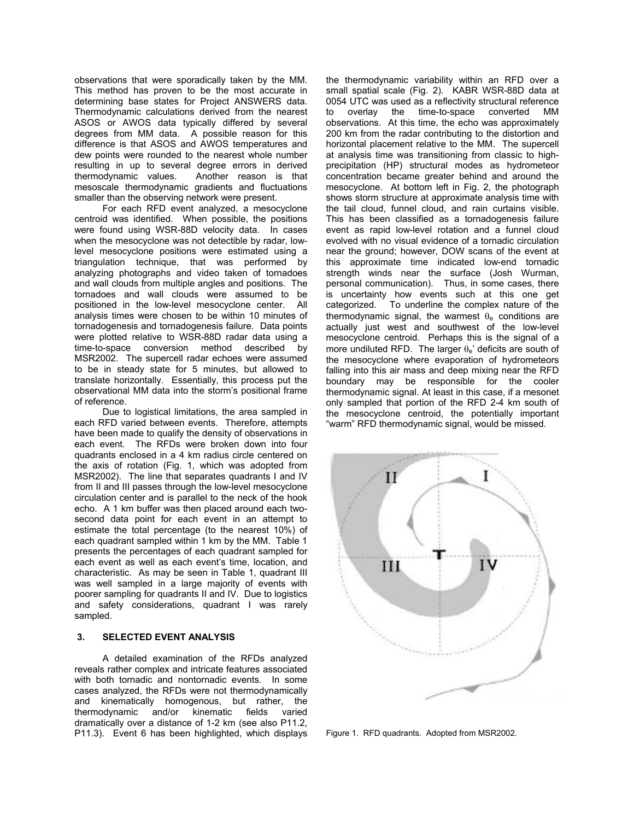observations that were sporadically taken by the MM. This method has proven to be the most accurate in determining base states for Project ANSWERS data. Thermodynamic calculations derived from the nearest ASOS or AWOS data typically differed by several degrees from MM data. A possible reason for this difference is that ASOS and AWOS temperatures and dew points were rounded to the nearest whole number resulting in up to several degree errors in derived thermodynamic values. Another reason is that mesoscale thermodynamic gradients and fluctuations smaller than the observing network were present.

For each RFD event analyzed, a mesocyclone centroid was identified. When possible, the positions were found using WSR-88D velocity data. In cases when the mesocyclone was not detectible by radar, lowlevel mesocyclone positions were estimated using a triangulation technique, that was performed by analyzing photographs and video taken of tornadoes and wall clouds from multiple angles and positions. The tornadoes and wall clouds were assumed to be positioned in the low-level mesocyclone center. All analysis times were chosen to be within 10 minutes of tornadogenesis and tornadogenesis failure. Data points were plotted relative to WSR-88D radar data using a time-to-space conversion method described by MSR2002. The supercell radar echoes were assumed to be in steady state for 5 minutes, but allowed to translate horizontally. Essentially, this process put the observational MM data into the storm's positional frame of reference.

Due to logistical limitations, the area sampled in each RFD varied between events. Therefore, attempts have been made to qualify the density of observations in each event. The RFDs were broken down into four quadrants enclosed in a 4 km radius circle centered on the axis of rotation (Fig. 1, which was adopted from MSR2002). The line that separates quadrants I and IV from II and III passes through the low-level mesocyclone circulation center and is parallel to the neck of the hook echo. A 1 km buffer was then placed around each twosecond data point for each event in an attempt to estimate the total percentage (to the nearest 10%) of each quadrant sampled within 1 km by the MM. Table 1 presents the percentages of each quadrant sampled for each event as well as each event's time, location, and characteristic. As may be seen in Table 1, quadrant III was well sampled in a large majority of events with poorer sampling for quadrants II and IV. Due to logistics and safety considerations, quadrant I was rarely sampled.

#### **3. SELECTED EVENT ANALYSIS**

A detailed examination of the RFDs analyzed reveals rather complex and intricate features associated with both tornadic and nontornadic events. In some cases analyzed, the RFDs were not thermodynamically and kinematically homogenous, but rather, the thermodynamic and/or kinematic fields varied dramatically over a distance of 1-2 km (see also P11.2, P11.3). Event 6 has been highlighted, which displays the thermodynamic variability within an RFD over a small spatial scale (Fig. 2). KABR WSR-88D data at 0054 UTC was used as a reflectivity structural reference to overlay the time-to-space converted MM observations. At this time, the echo was approximately 200 km from the radar contributing to the distortion and horizontal placement relative to the MM. The supercell at analysis time was transitioning from classic to highprecipitation (HP) structural modes as hydrometeor concentration became greater behind and around the mesocyclone. At bottom left in Fig. 2, the photograph shows storm structure at approximate analysis time with the tail cloud, funnel cloud, and rain curtains visible. This has been classified as a tornadogenesis failure event as rapid low-level rotation and a funnel cloud evolved with no visual evidence of a tornadic circulation near the ground; however, DOW scans of the event at this approximate time indicated low-end tornadic strength winds near the surface (Josh Wurman, personal communication). Thus, in some cases, there is uncertainty how events such at this one get categorized. To underline the complex nature of the thermodynamic signal, the warmest  $\theta_e$  conditions are actually just west and southwest of the low-level mesocyclone centroid. Perhaps this is the signal of a more undiluted RFD. The larger  $\theta_e$ ' deficits are south of the mesocyclone where evaporation of hydrometeors falling into this air mass and deep mixing near the RFD boundary may be responsible for the cooler thermodynamic signal. At least in this case, if a mesonet only sampled that portion of the RFD 2-4 km south of the mesocyclone centroid, the potentially important "warm" RFD thermodynamic signal, would be missed.



Figure 1. RFD quadrants. Adopted from MSR2002.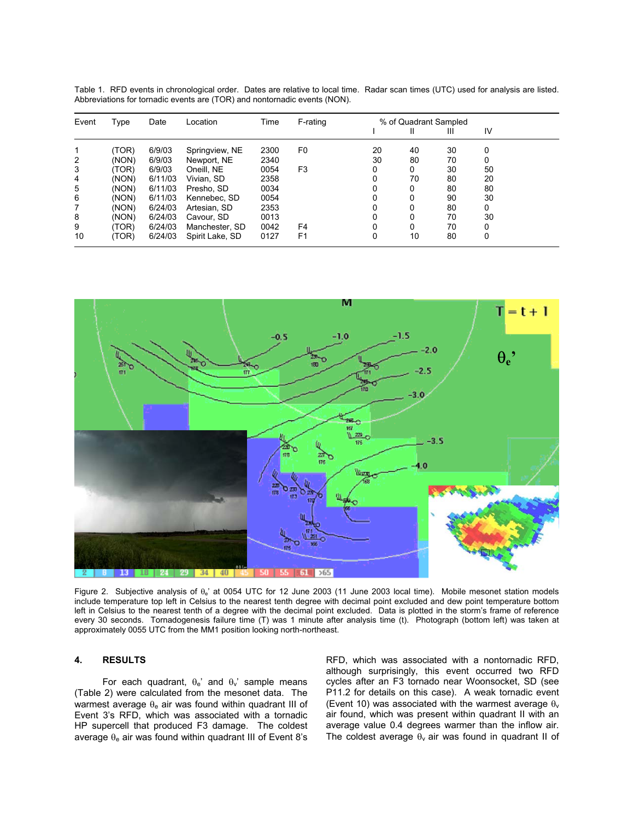| Event | Type  | Date    | Location        | Time | F-rating       | % of Quadrant Sampled |    |    |    |
|-------|-------|---------|-----------------|------|----------------|-----------------------|----|----|----|
|       |       |         |                 |      |                |                       | Ш  | Ш  | IV |
|       | (TOR) | 6/9/03  | Springview, NE  | 2300 | F0             | 20                    | 40 | 30 | 0  |
| 2     | (NON) | 6/9/03  | Newport, NE     | 2340 |                | 30                    | 80 | 70 | 0  |
| 3     | (TOR) | 6/9/03  | Oneill, NE      | 0054 | F <sub>3</sub> | 0                     | 0  | 30 | 50 |
| 4     | (NON) | 6/11/03 | Vivian. SD      | 2358 |                | 0                     | 70 | 80 | 20 |
| 5     | (NON) | 6/11/03 | Presho, SD      | 0034 |                | 0                     | 0  | 80 | 80 |
| 6     | (NON) | 6/11/03 | Kennebec, SD    | 0054 |                | 0                     | 0  | 90 | 30 |
|       | (NON) | 6/24/03 | Artesian, SD    | 2353 |                | 0                     | 0  | 80 | 0  |
| 8     | (NON) | 6/24/03 | Cavour, SD      | 0013 |                | 0                     | 0  | 70 | 30 |
| 9     | (TOR) | 6/24/03 | Manchester, SD  | 0042 | F <sub>4</sub> | 0                     | 0  | 70 | 0  |
| 10    | (TOR) | 6/24/03 | Spirit Lake, SD | 0127 | F <sub>1</sub> | 0                     | 10 | 80 | 0  |

Table 1. RFD events in chronological order. Dates are relative to local time. Radar scan times (UTC) used for analysis are listed. Abbreviations for tornadic events are (TOR) and nontornadic events (NON).



Figure 2. Subjective analysis of  $\theta_e$ ' at 0054 UTC for 12 June 2003 (11 June 2003 local time). Mobile mesonet station models include temperature top left in Celsius to the nearest tenth degree with decimal point excluded and dew point temperature bottom left in Celsius to the nearest tenth of a degree with the decimal point excluded. Data is plotted in the storm's frame of reference every 30 seconds. Tornadogenesis failure time (T) was 1 minute after analysis time (t). Photograph (bottom left) was taken at approximately 0055 UTC from the MM1 position looking north-northeast.

#### **4. RESULTS**

For each quadrant,  $\theta_e$ ' and  $\theta_v$ ' sample means (Table 2) were calculated from the mesonet data. The warmest average θ<sub>e</sub> air was found within quadrant III of Event 3's RFD, which was associated with a tornadic HP supercell that produced F3 damage. The coldest average  $\theta_e$  air was found within quadrant III of Event 8's

RFD, which was associated with a nontornadic RFD, although surprisingly, this event occurred two RFD cycles after an F3 tornado near Woonsocket, SD (see P11.2 for details on this case). A weak tornadic event (Event 10) was associated with the warmest average  $\theta_{\rm v}$ air found, which was present within quadrant II with an average value 0.4 degrees warmer than the inflow air. The coldest average  $\theta_v$  air was found in quadrant II of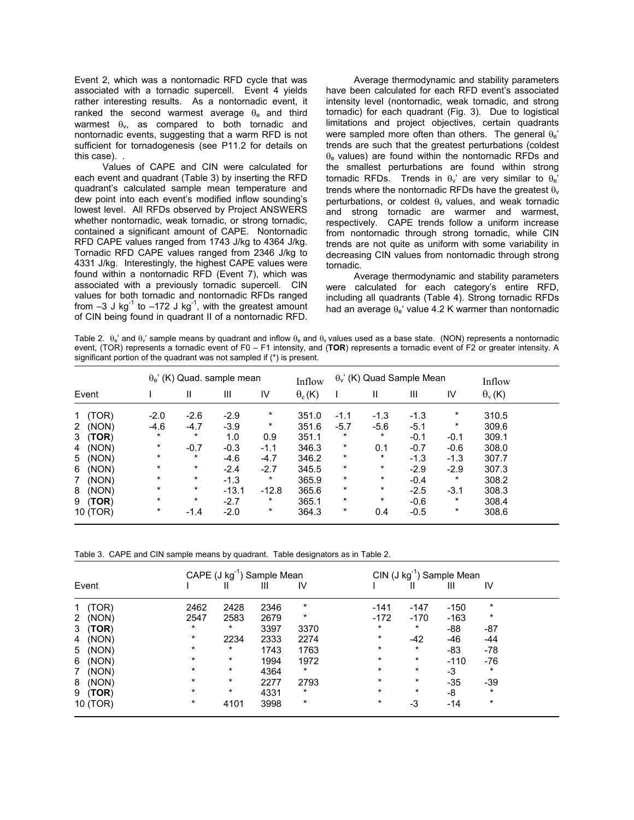Event 2, which was a nontornadic RFD cycle that was associated with a tornadic supercell. Event 4 yields rather interesting results. As a nontornadic event, it ranked the second warmest average  $\theta_e$  and third warmest  $\theta_v$ , as compared to both tornadic and nontornadic events, suggesting that a warm RFD is not sufficient for tornadogenesis (see P11.2 for details on this case). .

Values of CAPE and CIN were calculated for each event and quadrant (Table 3) by inserting the RFD quadrant's calculated sample mean temperature and dew point into each event's modified inflow sounding's lowest level. All RFDs observed by Project ANSWERS whether nontornadic, weak tornadic, or strong tornadic, contained a significant amount of CAPE. Nontornadic RFD CAPE values ranged from 1743 J/kg to 4364 J/kg. Tornadic RFD CAPE values ranged from 2346 J/kg to 4331 J/kg. Interestingly, the highest CAPE values were found within a nontornadic RFD (Event 7), which was associated with a previously tornadic supercell. CIN values for both tornadic and nontornadic RFDs ranged from  $-3$  J kg<sup>-1</sup> to  $-172$  J kg<sup>-1</sup>, with the greatest amount of CIN being found in quadrant II of a nontornadic RFD.

 Average thermodynamic and stability parameters have been calculated for each RFD event's associated intensity level (nontornadic, weak tornadic, and strong tornadic) for each quadrant (Fig. 3). Due to logistical limitations and project objectives, certain quadrants were sampled more often than others. The general  $\theta_e$ ' trends are such that the greatest perturbations (coldest  $θ<sub>ε</sub>$  values) are found within the nontornadic RFDs and the smallest perturbations are found within strong tornadic RFDs. Trends in  $\theta_v$ ' are very similar to  $\theta_e$ ' trends where the nontornadic RFDs have the greatest  $\theta_{v}$ perturbations, or coldest  $\theta_v$  values, and weak tornadic and strong tornadic are warmer and warmest, respectively. CAPE trends follow a uniform increase from nontornadic through strong tornadic, while CIN trends are not quite as uniform with some variability in decreasing CIN values from nontornadic through strong tornadic.

 Average thermodynamic and stability parameters were calculated for each category's entire RFD, including all quadrants (Table 4). Strong tornadic RFDs had an average  $\theta_e$ ' value 4.2 K warmer than nontornadic

Table 2.  $\theta_e$ ' and  $\theta_v$ ' sample means by quadrant and inflow  $\theta_e$  and  $\theta_v$  values used as a base state. (NON) represents a nontornadic event, (TOR) represents a tornadic event of F0 – F1 intensity, and (**TOR**) represents a tornadic event of F2 or greater intensity. A significant portion of the quadrant was not sampled if (\*) is present.

|                       | $\theta_e$ ' (K) Quad. sample mean |          |         |         | Inflow         | $\theta$ <sub>v</sub> ' (K) Quad Sample Mean |          |        |          | Inflow               |
|-----------------------|------------------------------------|----------|---------|---------|----------------|----------------------------------------------|----------|--------|----------|----------------------|
| Event                 |                                    | Ш        | Ш       | IV      | $\theta_e$ (K) |                                              | Ш        | Ш      | IV       | $\theta_{\rm v}$ (K) |
| (TOR)<br>1            | $-2.0$                             | $-2.6$   | $-2.9$  | *       | 351.0          | $-1.1$                                       | $-1.3$   | $-1.3$ | $\star$  | 310.5                |
| (NON)<br>$\mathbf{2}$ | $-4.6$                             | $-4.7$   | $-3.9$  | $\star$ | 351.6          | $-5.7$                                       | $-5.6$   | $-5.1$ | $\star$  | 309.6                |
| (TOR)<br>3            | $\star$                            | $\star$  | 1.0     | 0.9     | 351.1          | $\ast$                                       | $\star$  | $-0.1$ | $-0.1$   | 309.1                |
| (NON)<br>4            | $\star$                            | $-0.7$   | $-0.3$  | $-1.1$  | 346.3          | $\star$                                      | 0.1      | $-0.7$ | $-0.6$   | 308.0                |
| (NON)<br>5            | $\star$                            | $\star$  | $-4.6$  | $-4.7$  | 346.2          | $\star$                                      | $\ast$   | $-1.3$ | $-1.3$   | 307.7                |
| (NON)<br>6            | $\star$                            | $^\star$ | $-2.4$  | $-2.7$  | 345.5          | $\star$                                      | $\star$  | $-2.9$ | $-2.9$   | 307.3                |
| (NON)<br>7            | $\star$                            | $\star$  | $-1.3$  | $\star$ | 365.9          | $\star$                                      | $^\star$ | $-0.4$ | $\ast$   | 308.2                |
| (NON)<br>8            | $\star$                            | $\star$  | $-13.1$ | $-12.8$ | 365.6          | $\star$                                      | $\star$  | $-2.5$ | $-3.1$   | 308.3                |
| (TOR)<br>9            | $\star$                            | $\star$  | $-2.7$  | *       | 365.1          | $\star$                                      | $\ast$   | $-0.6$ | $^\star$ | 308.4                |
| 10 (TOR)              | $\star$                            | $-1.4$   | $-2.0$  | *       | 364.3          | $\star$                                      | 0.4      | $-0.5$ | $^\star$ | 308.6                |

Table 3. CAPE and CIN sample means by quadrant. Table designators as in Table 2.

|                      | CAPE $(J kg^{-1})$ Sample Mean |         |      |          | $CIN$ (J kg <sup>-1</sup> ) Sample Mean |         |        |          |  |
|----------------------|--------------------------------|---------|------|----------|-----------------------------------------|---------|--------|----------|--|
| Event                |                                | Ш       | Ш    | IV       |                                         |         | Ш      | IV       |  |
| (TOR)                | 2462                           | 2428    | 2346 | $^\star$ | $-141$                                  | $-147$  | $-150$ | $\star$  |  |
| 2 (NON)              | 2547                           | 2583    | 2679 | $^\star$ | $-172$                                  | $-170$  | $-163$ | $\star$  |  |
| 3 (TOR)              | $^\star$                       | $\ast$  | 3397 | 3370     | $\star$                                 | $\star$ | -88    | -87      |  |
| (NON)<br>4           | $\star$                        | 2234    | 2333 | 2274     | $\star$                                 | -42     | -46    | -44      |  |
| 5 (NON)              | $\star$                        | $\ast$  | 1743 | 1763     | $\star$                                 | $\star$ | -83    | -78      |  |
| (NON)<br>6           | $\star$                        | $\star$ | 1994 | 1972     | $\star$                                 | $\star$ | $-110$ | -76      |  |
| (NON)<br>$7^{\circ}$ | $\star$                        | $\star$ | 4364 | *        | $\star$                                 | $\star$ | -3     | $^\star$ |  |
| (NON)<br>8           | $\star$                        | $\star$ | 2277 | 2793     | $\star$                                 | $\star$ | $-35$  | $-39$    |  |
| (TOR)<br>9           | $^\star$                       | $\star$ | 4331 | *        | $\star$                                 | $\star$ | -8     | $^\star$ |  |
| 10 (TOR)             | $^\star$                       | 4101    | 3998 | $\star$  | *                                       | -3      | $-14$  | $^\star$ |  |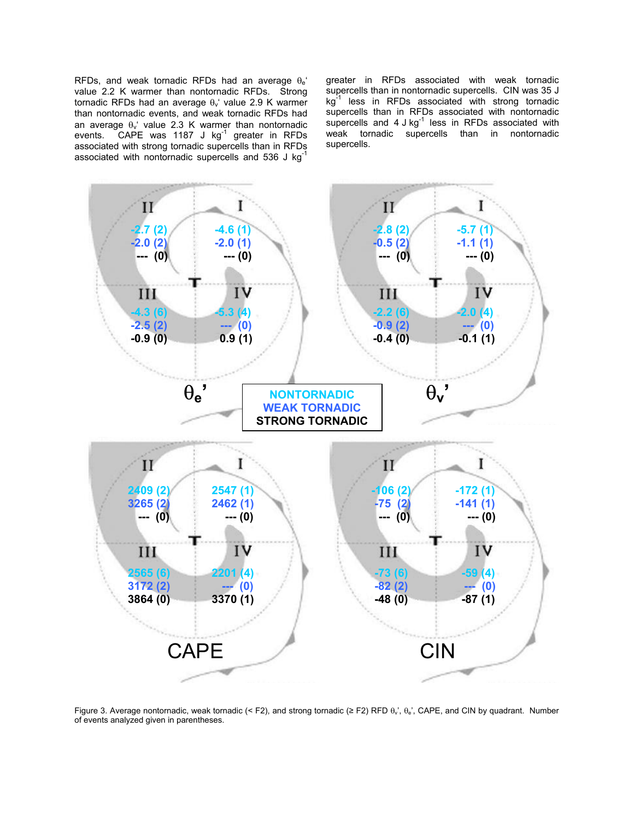RFDs, and weak tornadic RFDs had an average  $\theta_e$ <sup>\*</sup> value 2.2 K warmer than nontornadic RFDs. Strong tornadic RFDs had an average  $\theta_{\nu}$ ' value 2.9 K warmer than nontornadic events, and weak tornadic RFDs had an average  $\theta_v$ ' value 2.3 K warmer than nontornadic events. CAPE was 1187 J kg $^{-1}$  greater in RFDs associated with strong tornadic supercells than in RFDs associated with nontornadic supercells and 536 J kg

greater in RFDs associated with weak tornadic supercells than in nontornadic supercells. CIN was 35 J kg<sup>-1</sup> less in RFDs associated with strong tornadic supercells than in RFDs associated with nontornadic supercells and 4 J kg<sup>-1</sup> less in RFDs associated with weak tornadic supercells than in nontornadic supercells.



Figure 3. Average nontornadic, weak tornadic (< F2), and strong tornadic ( $\geq$  F2) RFD  $\theta_{\rm v}$ ,  $\theta_{\rm e}$ , CAPE, and CIN by quadrant. Number of events analyzed given in parentheses.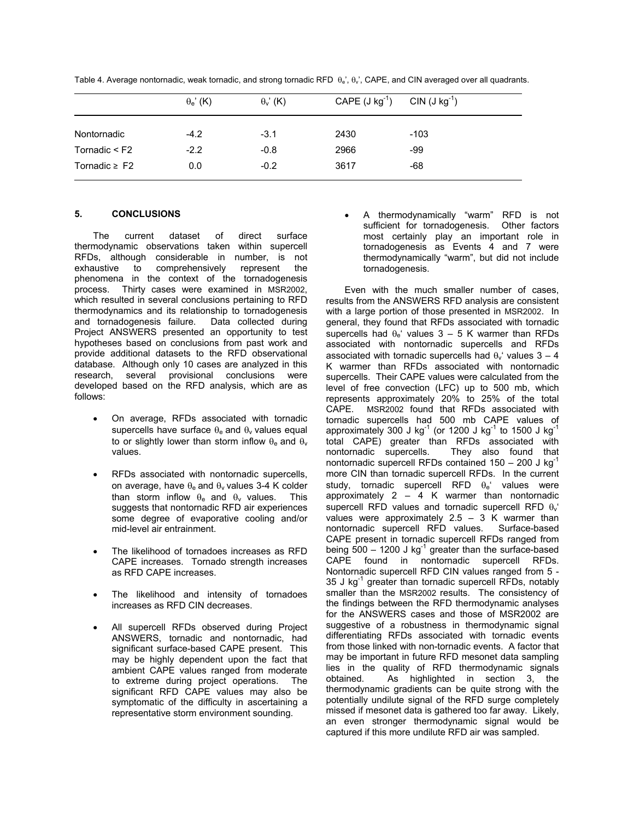|                    | $\theta_e$ ' (K) | $\theta$ <sub>v</sub> ' (K) | CAPE $(J kg^{-1})$ | $CIN (J kg-1)$ |
|--------------------|------------------|-----------------------------|--------------------|----------------|
| Nontornadic        | $-4.2$           | $-3.1$                      | 2430               | $-103$         |
| Tornadic $\leq$ F2 | $-2.2$           | $-0.8$                      | 2966               | -99            |
| Tornadic $\geq$ F2 | 0.0              | $-0.2$                      | 3617               | -68            |

Table 4. Average nontornadic, weak tornadic, and strong tornadic RFD  $\theta_e$ ,  $\theta_v$ , CAPE, and CIN averaged over all quadrants.

# **5. CONCLUSIONS**

The current dataset of direct surface thermodynamic observations taken within supercell RFDs, although considerable in number, is not exhaustive to comprehensively represent the phenomena in the context of the tornadogenesis process. Thirty cases were examined in MSR2002, which resulted in several conclusions pertaining to RFD thermodynamics and its relationship to tornadogenesis and tornadogenesis failure. Data collected during Project ANSWERS presented an opportunity to test hypotheses based on conclusions from past work and provide additional datasets to the RFD observational database. Although only 10 cases are analyzed in this research, several provisional conclusions were developed based on the RFD analysis, which are as follows:

- On average, RFDs associated with tornadic supercells have surface  $\theta_e$  and  $\theta_v$  values equal to or slightly lower than storm inflow  $\theta_e$  and  $\theta_v$ values.
- RFDs associated with nontornadic supercells, on average, have  $\theta_e$  and  $\theta_v$  values 3-4 K colder than storm inflow  $\theta_e$  and  $\theta_v$  values. This suggests that nontornadic RFD air experiences some degree of evaporative cooling and/or mid-level air entrainment.
- The likelihood of tornadoes increases as RFD CAPE increases. Tornado strength increases as RFD CAPE increases.
- The likelihood and intensity of tornadoes increases as RFD CIN decreases.
- All supercell RFDs observed during Project ANSWERS, tornadic and nontornadic, had significant surface-based CAPE present. This may be highly dependent upon the fact that ambient CAPE values ranged from moderate to extreme during project operations. The significant RFD CAPE values may also be symptomatic of the difficulty in ascertaining a representative storm environment sounding.

• A thermodynamically "warm" RFD is not sufficient for tornadogenesis. Other factors most certainly play an important role in tornadogenesis as Events 4 and 7 were thermodynamically "warm", but did not include tornadogenesis.

Even with the much smaller number of cases, results from the ANSWERS RFD analysis are consistent with a large portion of those presented in MSR2002. In general, they found that RFDs associated with tornadic supercells had  $\theta_e$ ' values 3 – 5 K warmer than RFDs associated with nontornadic supercells and RFDs associated with tornadic supercells had  $\theta_{\rm v}$  values  $3 - 4$ K warmer than RFDs associated with nontornadic supercells. Their CAPE values were calculated from the level of free convection (LFC) up to 500 mb, which represents approximately 20% to 25% of the total CAPE. MSR2002 found that RFDs associated with tornadic supercells had 500 mb CAPE values of approximately 300 J kg<sup>-1</sup> (or 1200 J kg<sup>-1</sup> to 1500 J kg<sup>-1</sup> total CAPE) greater than RFDs associated with nontornadic supercells. They also found that nontornadic supercell RFDs contained  $150 - 200$  J kg<sup>-1</sup> more CIN than tornadic supercell RFDs. In the current study, tornadic supercell RFD  $\theta_e$ ' values were approximately  $2 - 4$  K warmer than nontornadic supercell RFD values and tornadic supercell RFD  $\theta_v$ values were approximately 2.5 - 3 K warmer than<br>nontornadic supercell RFD values. Surface-based nontornadic supercell RFD values. CAPE present in tornadic supercell RFDs ranged from being  $500 - 1200$  J kg<sup>-1</sup> greater than the surface-based CAPE found in nontornadic supercell RFDs. Nontornadic supercell RFD CIN values ranged from 5 - 35 J  $kg^{-1}$  greater than tornadic supercell RFDs, notably smaller than the MSR2002 results. The consistency of the findings between the RFD thermodynamic analyses for the ANSWERS cases and those of MSR2002 are suggestive of a robustness in thermodynamic signal differentiating RFDs associated with tornadic events from those linked with non-tornadic events. A factor that may be important in future RFD mesonet data sampling lies in the quality of RFD thermodynamic signals obtained. As highlighted in section 3, the thermodynamic gradients can be quite strong with the potentially undilute signal of the RFD surge completely missed if mesonet data is gathered too far away. Likely, an even stronger thermodynamic signal would be captured if this more undilute RFD air was sampled.